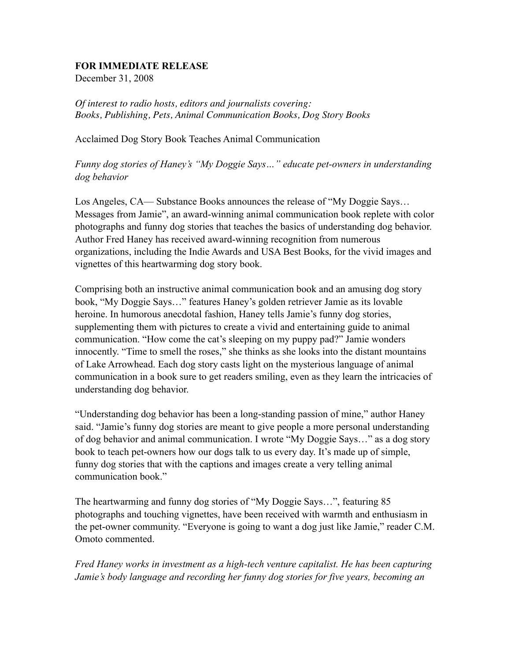## **FOR IMMEDIATE RELEASE**

December 31, 2008

*Of interest to radio hosts, editors and journalists covering: Books, Publishing, Pets, Animal Communication Books, Dog Story Books*

Acclaimed Dog Story Book Teaches Animal Communication

*Funny dog stories of Haney's "My Doggie Says…" educate pet-owners in understanding dog behavior* 

Los Angeles, CA— Substance Books announces the release of "My Doggie Says… Messages from Jamie", an award-winning animal communication book replete with color photographs and funny dog stories that teaches the basics of understanding dog behavior. Author Fred Haney has received award-winning recognition from numerous organizations, including the Indie Awards and USA Best Books, for the vivid images and vignettes of this heartwarming dog story book.

Comprising both an instructive animal communication book and an amusing dog story book, "My Doggie Says…" features Haney's golden retriever Jamie as its lovable heroine. In humorous anecdotal fashion, Haney tells Jamie's funny dog stories, supplementing them with pictures to create a vivid and entertaining guide to animal communication. "How come the cat's sleeping on my puppy pad?" Jamie wonders innocently. "Time to smell the roses," she thinks as she looks into the distant mountains of Lake Arrowhead. Each dog story casts light on the mysterious language of animal communication in a book sure to get readers smiling, even as they learn the intricacies of understanding dog behavior.

"Understanding dog behavior has been a long-standing passion of mine," author Haney said. "Jamie's funny dog stories are meant to give people a more personal understanding of dog behavior and animal communication. I wrote "My Doggie Says…" as a dog story book to teach pet-owners how our dogs talk to us every day. It's made up of simple, funny dog stories that with the captions and images create a very telling animal communication book."

The heartwarming and funny dog stories of "My Doggie Says…", featuring 85 photographs and touching vignettes, have been received with warmth and enthusiasm in the pet-owner community. "Everyone is going to want a dog just like Jamie," reader C.M. Omoto commented.

*Fred Haney works in investment as a high-tech venture capitalist. He has been capturing Jamie's body language and recording her funny dog stories for five years, becoming an*